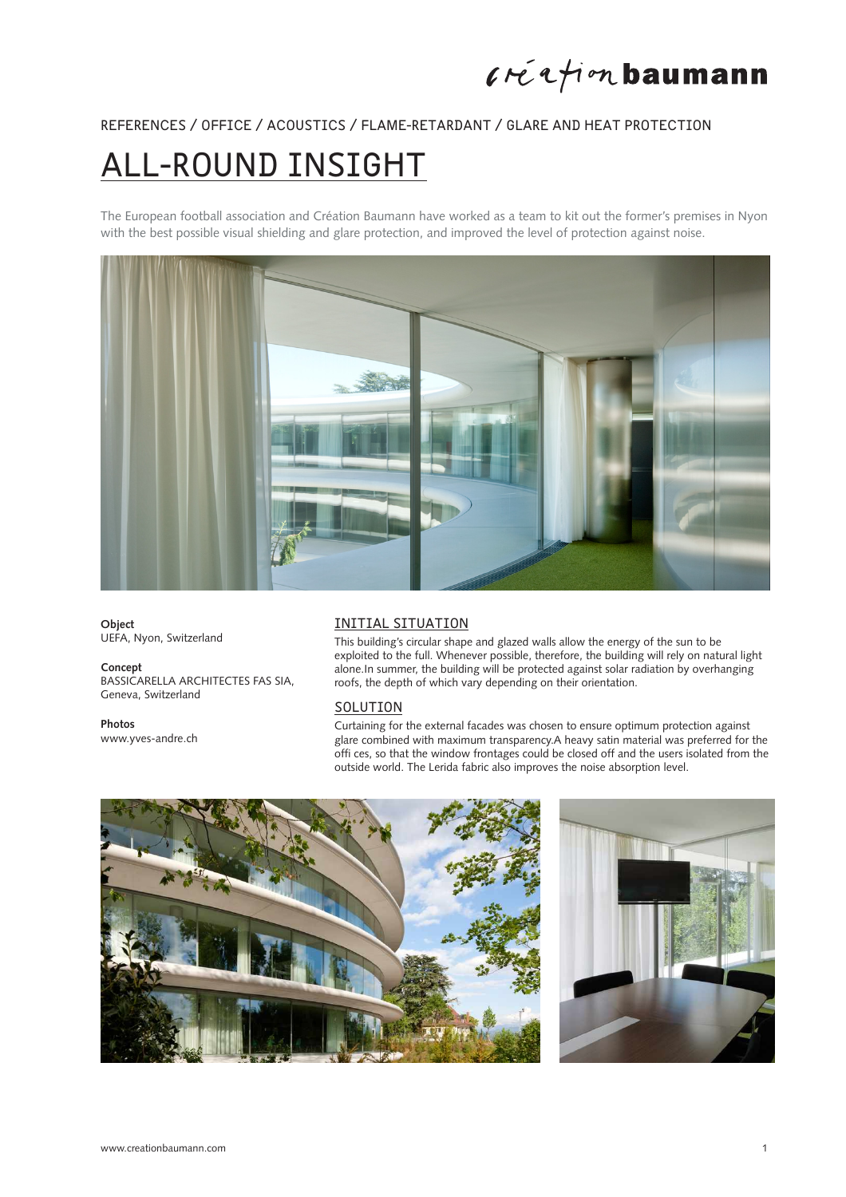### $l$ réation baumann

### REFERENCES / OFFICE / ACOUSTICS / FLAME-RETARDANT / GLARE AND HEAT PROTECTION

# ALL-ROUND INSIGHT

The European football association and Création Baumann have worked as a team to kit out the former's premises in Nyon with the best possible visual shielding and glare protection, and improved the level of protection against noise.



**Object** UEFA, Nyon, Switzerland

#### **Concept**

BASSICARELLA ARCHITECTES FAS SIA, Geneva, Switzerland

**Photos**

www.yves-andre.ch

#### INITIAL SITUATION

This building's circular shape and glazed walls allow the energy of the sun to be exploited to the full. Whenever possible, therefore, the building will rely on natural light alone.In summer, the building will be protected against solar radiation by overhanging roofs, the depth of which vary depending on their orientation.

#### SOLUTION

Curtaining for the external facades was chosen to ensure optimum protection against glare combined with maximum transparency.A heavy satin material was preferred for the offi ces, so that the window frontages could be closed off and the users isolated from the outside world. The Lerida fabric also improves the noise absorption level.